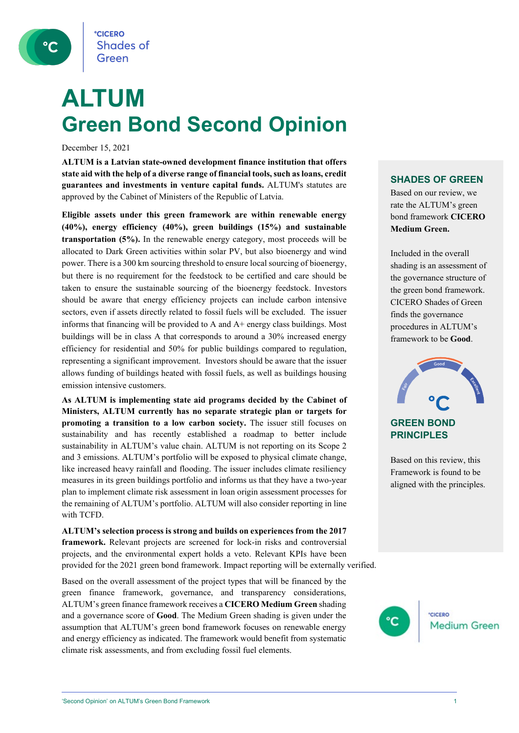**CICERO Shades of** Green

## **ALTUM Green Bond Second Opinion**

December 15, 2021

**ALTUM is a Latvian state-owned development finance institution that offers state aid with the help of a diverse range of financial tools, such as loans, credit guarantees and investments in venture capital funds.** ALTUM's statutes are approved by the Cabinet of Ministers of the Republic of Latvia.

**Eligible assets under this green framework are within renewable energy (40%), energy efficiency (40%), green buildings (15%) and sustainable transportation (5%).** In the renewable energy category, most proceeds will be allocated to Dark Green activities within solar PV, but also bioenergy and wind power. There is a 300 km sourcing threshold to ensure local sourcing of bioenergy, but there is no requirement for the feedstock to be certified and care should be taken to ensure the sustainable sourcing of the bioenergy feedstock. Investors should be aware that energy efficiency projects can include carbon intensive sectors, even if assets directly related to fossil fuels will be excluded. The issuer informs that financing will be provided to A and A+ energy class buildings. Most buildings will be in class A that corresponds to around a 30% increased energy efficiency for residential and 50% for public buildings compared to regulation, representing a significant improvement. Investors should be aware that the issuer allows funding of buildings heated with fossil fuels, as well as buildings housing emission intensive customers.

**As ALTUM is implementing state aid programs decided by the Cabinet of Ministers, ALTUM currently has no separate strategic plan or targets for promoting a transition to a low carbon society.** The issuer still focuses on sustainability and has recently established a roadmap to better include sustainability in ALTUM's value chain. ALTUM is not reporting on its Scope 2 and 3 emissions. ALTUM's portfolio will be exposed to physical climate change, like increased heavy rainfall and flooding. The issuer includes climate resiliency measures in its green buildings portfolio and informs us that they have a two-year plan to implement climate risk assessment in loan origin assessment processes for the remaining of ALTUM's portfolio. ALTUM will also consider reporting in line with TCFD.

**ALTUM's selection process is strong and builds on experiences from the 2017 framework.** Relevant projects are screened for lock-in risks and controversial projects, and the environmental expert holds a veto. Relevant KPIs have been provided for the 2021 green bond framework. Impact reporting will be externally verified.

Based on the overall assessment of the project types that will be financed by the green finance framework, governance, and transparency considerations, ALTUM's green finance framework receives a **CICERO Medium Green** shading and a governance score of **Good**. The Medium Green shading is given under the assumption that ALTUM's green bond framework focuses on renewable energy and energy efficiency as indicated. The framework would benefit from systematic climate risk assessments, and from excluding fossil fuel elements.

**SHADES OF GREEN**

Based on our review, we rate the ALTUM's green bond framework **CICERO Medium Green.** 

Included in the overall shading is an assessment of the governance structure of the green bond framework. CICERO Shades of Green finds the governance procedures in ALTUM's framework to be **Good**.



### **PRINCIPLES**

Based on this review, this Framework is found to be aligned with the principles.

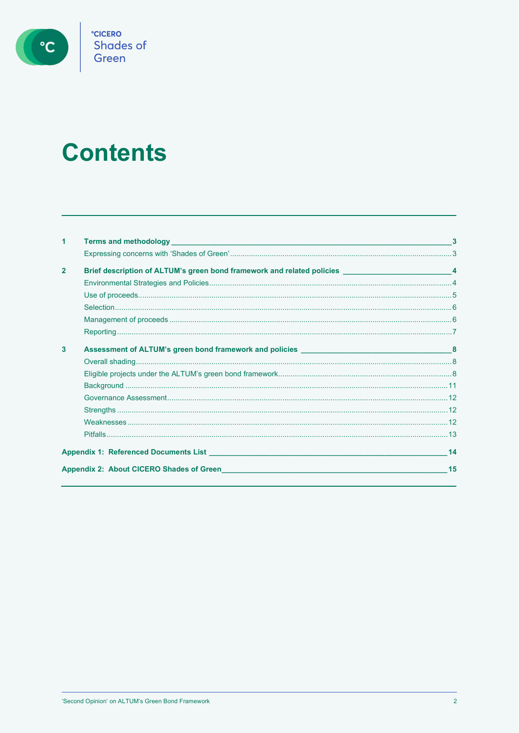

**CICERO**<br>Shades of<br>Green

# **Contents**

| 1              |                                                                                                                                |    |
|----------------|--------------------------------------------------------------------------------------------------------------------------------|----|
|                |                                                                                                                                |    |
| $\overline{2}$ | Brief description of ALTUM's green bond framework and related policies <b>Exercise ACTION</b> is a set of the state of         |    |
|                |                                                                                                                                |    |
|                |                                                                                                                                |    |
|                |                                                                                                                                |    |
|                |                                                                                                                                |    |
|                |                                                                                                                                |    |
| 3              |                                                                                                                                |    |
|                |                                                                                                                                |    |
|                |                                                                                                                                |    |
|                |                                                                                                                                |    |
|                |                                                                                                                                |    |
|                |                                                                                                                                |    |
|                |                                                                                                                                |    |
|                |                                                                                                                                |    |
|                |                                                                                                                                | 14 |
|                | Appendix 2: About CICERO Shades of Green <b>Call 2018</b> Contract to the Contract of Appendix 2: About CICERO Shades of Green | 15 |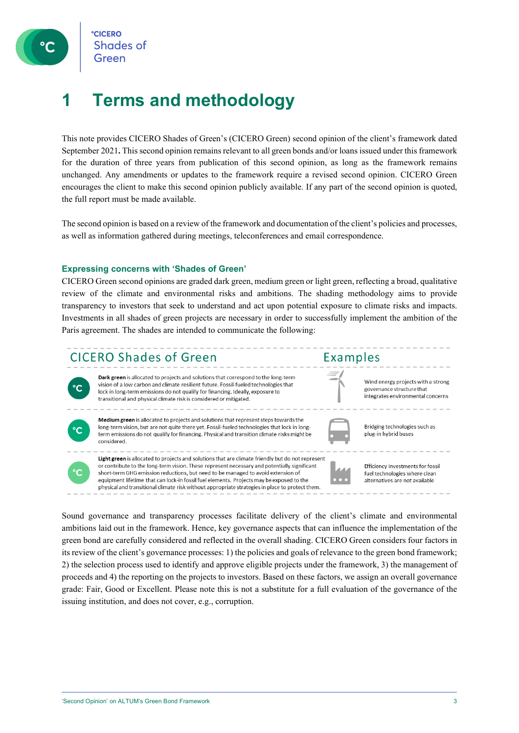

### <span id="page-2-0"></span>**1 Terms and methodology**

This note provides CICERO Shades of Green's (CICERO Green) second opinion of the client's framework dated September 2021**.** This second opinion remains relevant to all green bonds and/or loans issued under this framework for the duration of three years from publication of this second opinion, as long as the framework remains unchanged. Any amendments or updates to the framework require a revised second opinion. CICERO Green encourages the client to make this second opinion publicly available. If any part of the second opinion is quoted, the full report must be made available.

<span id="page-2-1"></span>The second opinion is based on a review of the framework and documentation of the client's policies and processes, as well as information gathered during meetings, teleconferences and email correspondence.

#### **Expressing concerns with 'Shades of Green'**

CICERO Green second opinions are graded dark green, medium green or light green, reflecting a broad, qualitative review of the climate and environmental risks and ambitions. The shading methodology aims to provide transparency to investors that seek to understand and act upon potential exposure to climate risks and impacts. Investments in all shades of green projects are necessary in order to successfully implement the ambition of the Paris agreement. The shades are intended to communicate the following:



Sound governance and transparency processes facilitate delivery of the client's climate and environmental ambitions laid out in the framework. Hence, key governance aspects that can influence the implementation of the green bond are carefully considered and reflected in the overall shading. CICERO Green considers four factors in its review of the client's governance processes: 1) the policies and goals of relevance to the green bond framework; 2) the selection process used to identify and approve eligible projects under the framework, 3) the management of proceeds and 4) the reporting on the projects to investors. Based on these factors, we assign an overall governance grade: Fair, Good or Excellent. Please note this is not a substitute for a full evaluation of the governance of the issuing institution, and does not cover, e.g., corruption.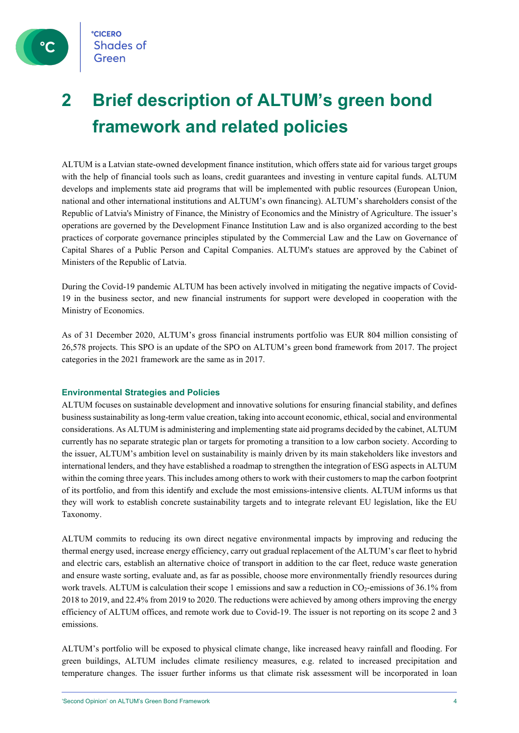

## <span id="page-3-0"></span>**2 Brief description of ALTUM's green bond framework and related policies**

ALTUM is a Latvian state-owned development finance institution, which offers state aid for various target groups with the help of financial tools such as loans, credit guarantees and investing in venture capital funds. ALTUM develops and implements state aid programs that will be implemented with public resources (European Union, national and other international institutions and ALTUM's own financing). ALTUM's shareholders consist of the Republic of Latvia's Ministry of Finance, the Ministry of Economics and the Ministry of Agriculture. The issuer's operations are governed by the Development Finance Institution Law and is also organized according to the best practices of corporate governance principles stipulated by the Commercial Law and the Law on Governance of Capital Shares of a Public Person and Capital Companies. ALTUM's statues are approved by the Cabinet of Ministers of the Republic of Latvia.

During the Covid-19 pandemic ALTUM has been actively involved in mitigating the negative impacts of Covid-19 in the business sector, and new financial instruments for support were developed in cooperation with the Ministry of Economics.

As of 31 December 2020, ALTUM's gross financial instruments portfolio was EUR 804 million consisting of 26,578 projects. This SPO is an update of the SPO on ALTUM's green bond framework from 2017. The project categories in the 2021 framework are the same as in 2017.

#### <span id="page-3-1"></span>**Environmental Strategies and Policies**

ALTUM focuses on sustainable development and innovative solutions for ensuring financial stability, and defines business sustainability as long-term value creation, taking into account economic, ethical, social and environmental considerations. As ALTUM is administering and implementing state aid programs decided by the cabinet, ALTUM currently has no separate strategic plan or targets for promoting a transition to a low carbon society. According to the issuer, ALTUM's ambition level on sustainability is mainly driven by its main stakeholders like investors and international lenders, and they have established a roadmap to strengthen the integration of ESG aspects in ALTUM within the coming three years. This includes among others to work with their customers to map the carbon footprint of its portfolio, and from this identify and exclude the most emissions-intensive clients. ALTUM informs us that they will work to establish concrete sustainability targets and to integrate relevant EU legislation, like the EU Taxonomy.

ALTUM commits to reducing its own direct negative environmental impacts by improving and reducing the thermal energy used, increase energy efficiency, carry out gradual replacement of the ALTUM's car fleet to hybrid and electric cars, establish an alternative choice of transport in addition to the car fleet, reduce waste generation and ensure waste sorting, evaluate and, as far as possible, choose more environmentally friendly resources during work travels. ALTUM is calculation their scope 1 emissions and saw a reduction in CO<sub>2</sub>-emissions of 36.1% from 2018 to 2019, and 22.4% from 2019 to 2020. The reductions were achieved by among others improving the energy efficiency of ALTUM offices, and remote work due to Covid-19. The issuer is not reporting on its scope 2 and 3 emissions.

ALTUM's portfolio will be exposed to physical climate change, like increased heavy rainfall and flooding. For green buildings, ALTUM includes climate resiliency measures, e.g. related to increased precipitation and temperature changes. The issuer further informs us that climate risk assessment will be incorporated in loan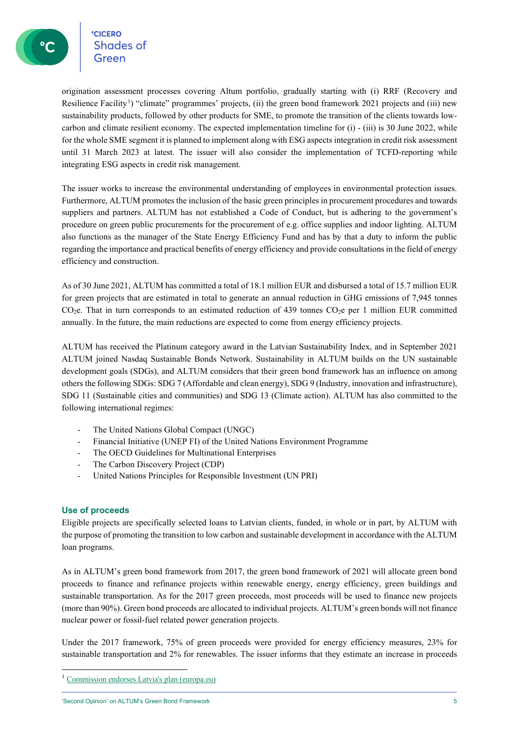**CICERO** <sup>e</sup>cicero<br>Shades of

origination assessment processes covering Altum portfolio, gradually starting with (i) RRF (Recovery and Resilience Facility<sup>[1](#page-4-1)</sup>) "climate" programmes' projects, (ii) the green bond framework 2021 projects and (iii) new sustainability products, followed by other products for SME, to promote the transition of the clients towards lowcarbon and climate resilient economy. The expected implementation timeline for (i) - (iii) is 30 June 2022, while for the whole SME segment it is planned to implement along with ESG aspects integration in credit risk assessment until 31 March 2023 at latest. The issuer will also consider the implementation of TCFD-reporting while integrating ESG aspects in credit risk management.

The issuer works to increase the environmental understanding of employees in environmental protection issues. Furthermore, ALTUM promotes the inclusion of the basic green principles in procurement procedures and towards suppliers and partners. ALTUM has not established a Code of Conduct, but is adhering to the government's procedure on green public procurements for the procurement of e.g. office supplies and indoor lighting. ALTUM also functions as the manager of the State Energy Efficiency Fund and has by that a duty to inform the public regarding the importance and practical benefits of energy efficiency and provide consultations in the field of energy efficiency and construction.

As of 30 June 2021, ALTUM has committed a total of 18.1 million EUR and disbursed a total of 15.7 million EUR for green projects that are estimated in total to generate an annual reduction in GHG emissions of 7,945 tonnes  $CO<sub>2</sub>e$ . That in turn corresponds to an estimated reduction of 439 tonnes  $CO<sub>2</sub>e$  per 1 million EUR committed annually. In the future, the main reductions are expected to come from energy efficiency projects.

ALTUM has received the Platinum category award in the Latvian Sustainability Index, and in September 2021 ALTUM joined Nasdaq Sustainable Bonds Network. Sustainability in ALTUM builds on the UN sustainable development goals (SDGs), and ALTUM considers that their green bond framework has an influence on among others the following SDGs: SDG 7 (Affordable and clean energy), SDG 9 (Industry, innovation and infrastructure), SDG 11 (Sustainable cities and communities) and SDG 13 (Climate action). ALTUM has also committed to the following international regimes:

- The United Nations Global Compact (UNGC)
- Financial Initiative (UNEP FI) of the United Nations Environment Programme
- The OECD Guidelines for Multinational Enterprises
- The Carbon Discovery Project (CDP)
- <span id="page-4-0"></span>- United Nations Principles for Responsible Investment (UN PRI)

#### **Use of proceeds**

Eligible projects are specifically selected loans to Latvian clients, funded, in whole or in part, by ALTUM with the purpose of promoting the transition to low carbon and sustainable development in accordance with the ALTUM loan programs.

As in ALTUM's green bond framework from 2017, the green bond framework of 2021 will allocate green bond proceeds to finance and refinance projects within renewable energy, energy efficiency, green buildings and sustainable transportation. As for the 2017 green proceeds, most proceeds will be used to finance new projects (more than 90%). Green bond proceeds are allocated to individual projects. ALTUM's green bonds will not finance nuclear power or fossil-fuel related power generation projects.

Under the 2017 framework, 75% of green proceeds were provided for energy efficiency measures, 23% for sustainable transportation and 2% for renewables. The issuer informs that they estimate an increase in proceeds

<span id="page-4-1"></span><sup>1</sup> [Commission endorses Latvia's plan \(europa.eu\)](https://ec.europa.eu/commission/presscorner/detail/en/IP_21_3134)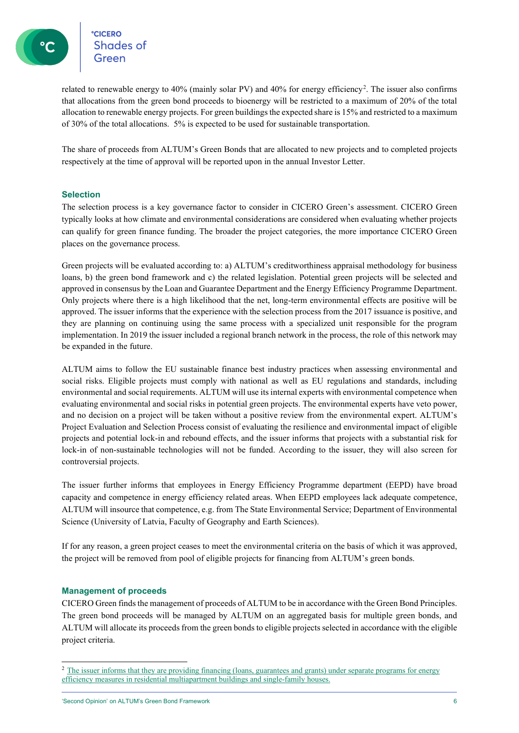**CICERO**<br>Shades of **CICERO** 

related to renewable energy to 40% (mainly solar PV) and 40% for energy efficiency<sup>[2](#page-5-2)</sup>. The issuer also confirms that allocations from the green bond proceeds to bioenergy will be restricted to a maximum of 20% of the total allocation to renewable energy projects. For green buildings the expected share is 15% and restricted to a maximum of 30% of the total allocations. 5% is expected to be used for sustainable transportation.

<span id="page-5-0"></span>The share of proceeds from ALTUM's Green Bonds that are allocated to new projects and to completed projects respectively at the time of approval will be reported upon in the annual Investor Letter.

#### **Selection**

The selection process is a key governance factor to consider in CICERO Green's assessment. CICERO Green typically looks at how climate and environmental considerations are considered when evaluating whether projects can qualify for green finance funding. The broader the project categories, the more importance CICERO Green places on the governance process.

Green projects will be evaluated according to: a) ALTUM's creditworthiness appraisal methodology for business loans, b) the green bond framework and c) the related legislation. Potential green projects will be selected and approved in consensus by the Loan and Guarantee Department and the Energy Efficiency Programme Department. Only projects where there is a high likelihood that the net, long-term environmental effects are positive will be approved. The issuer informs that the experience with the selection process from the 2017 issuance is positive, and they are planning on continuing using the same process with a specialized unit responsible for the program implementation. In 2019 the issuer included a regional branch network in the process, the role of this network may be expanded in the future.

ALTUM aims to follow the EU sustainable finance best industry practices when assessing environmental and social risks. Eligible projects must comply with national as well as EU regulations and standards, including environmental and social requirements. ALTUM will use its internal experts with environmental competence when evaluating environmental and social risks in potential green projects. The environmental experts have veto power, and no decision on a project will be taken without a positive review from the environmental expert. ALTUM's Project Evaluation and Selection Process consist of evaluating the resilience and environmental impact of eligible projects and potential lock-in and rebound effects, and the issuer informs that projects with a substantial risk for lock-in of non-sustainable technologies will not be funded. According to the issuer, they will also screen for controversial projects.

The issuer further informs that employees in Energy Efficiency Programme department (EEPD) have broad capacity and competence in energy efficiency related areas. When EEPD employees lack adequate competence, ALTUM will insource that competence, e.g. from The State Environmental Service; Department of Environmental Science (University of Latvia, Faculty of Geography and Earth Sciences).

<span id="page-5-1"></span>If for any reason, a green project ceases to meet the environmental criteria on the basis of which it was approved, the project will be removed from pool of eligible projects for financing from ALTUM's green bonds.

#### **Management of proceeds**

CICERO Green finds the management of proceeds of ALTUM to be in accordance with the Green Bond Principles. The green bond proceeds will be managed by ALTUM on an aggregated basis for multiple green bonds, and ALTUM will allocate its proceeds from the green bonds to eligible projects selected in accordance with the eligible project criteria.

<span id="page-5-2"></span><sup>&</sup>lt;sup>2</sup> The issuer informs that they are providing financing (loans, guarantees and grants) under separate programs for energy efficiency measures in residential multiapartment buildings and single-family houses.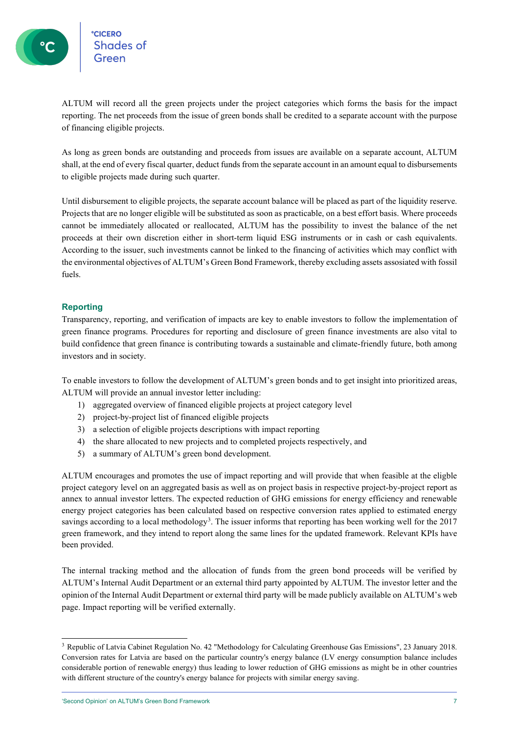ALTUM will record all the green projects under the project categories which forms the basis for the impact reporting. The net proceeds from the issue of green bonds shall be credited to a separate account with the purpose of financing eligible projects.

As long as green bonds are outstanding and proceeds from issues are available on a separate account, ALTUM shall, at the end of every fiscal quarter, deduct funds from the separate account in an amount equal to disbursements to eligible projects made during such quarter.

Until disbursement to eligible projects, the separate account balance will be placed as part of the liquidity reserve. Projects that are no longer eligible will be substituted as soon as practicable, on a best effort basis. Where proceeds cannot be immediately allocated or reallocated, ALTUM has the possibility to invest the balance of the net proceeds at their own discretion either in short-term liquid ESG instruments or in cash or cash equivalents. According to the issuer, such investments cannot be linked to the financing of activities which may conflict with the environmental objectives of ALTUM's Green Bond Framework, thereby excluding assets assosiated with fossil fuels.

#### <span id="page-6-0"></span>**Reporting**

Transparency, reporting, and verification of impacts are key to enable investors to follow the implementation of green finance programs. Procedures for reporting and disclosure of green finance investments are also vital to build confidence that green finance is contributing towards a sustainable and climate-friendly future, both among investors and in society.

To enable investors to follow the development of ALTUM's green bonds and to get insight into prioritized areas, ALTUM will provide an annual investor letter including:

- 1) aggregated overview of financed eligible projects at project category level
- 2) project-by-project list of financed eligible projects
- 3) a selection of eligible projects descriptions with impact reporting
- 4) the share allocated to new projects and to completed projects respectively, and
- 5) a summary of ALTUM's green bond development.

ALTUM encourages and promotes the use of impact reporting and will provide that when feasible at the eligble project category level on an aggregated basis as well as on project basis in respective project-by-project report as annex to annual investor letters. The expected reduction of GHG emissions for energy efficiency and renewable energy project categories has been calculated based on respective conversion rates applied to estimated energy savings according to a local methodology<sup>[3](#page-6-1)</sup>. The issuer informs that reporting has been working well for the 2017 green framework, and they intend to report along the same lines for the updated framework. Relevant KPIs have been provided.

The internal tracking method and the allocation of funds from the green bond proceeds will be verified by ALTUM's Internal Audit Department or an external third party appointed by ALTUM. The investor letter and the opinion of the Internal Audit Department or external third party will be made publicly available on ALTUM's web page. Impact reporting will be verified externally.

<span id="page-6-1"></span><sup>3</sup> Republic of Latvia Cabinet Regulation No. 42 "Methodology for Calculating Greenhouse Gas Emissions", 23 January 2018. Conversion rates for Latvia are based on the particular country's energy balance (LV energy consumption balance includes considerable portion of renewable energy) thus leading to lower reduction of GHG emissions as might be in other countries with different structure of the country's energy balance for projects with similar energy saving.

<sup>&#</sup>x27;Second Opinion' on ALTUM's Green Bond Framework 7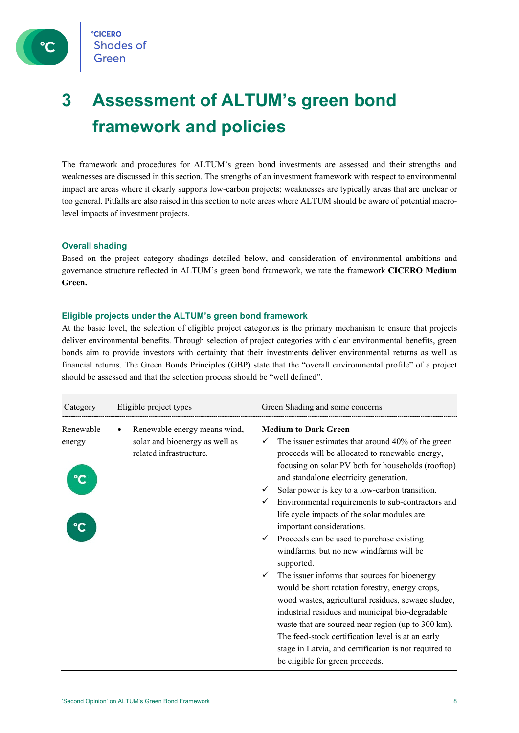

## <span id="page-7-0"></span>**3 Assessment of ALTUM's green bond framework and policies**

The framework and procedures for ALTUM's green bond investments are assessed and their strengths and weaknesses are discussed in this section. The strengths of an investment framework with respect to environmental impact are areas where it clearly supports low-carbon projects; weaknesses are typically areas that are unclear or too general. Pitfalls are also raised in this section to note areas where ALTUM should be aware of potential macrolevel impacts of investment projects.

#### <span id="page-7-1"></span>**Overall shading**

Based on the project category shadings detailed below, and consideration of environmental ambitions and governance structure reflected in ALTUM's green bond framework, we rate the framework **CICERO Medium Green.**

#### <span id="page-7-2"></span>**Eligible projects under the ALTUM's green bond framework**

At the basic level, the selection of eligible project categories is the primary mechanism to ensure that projects deliver environmental benefits. Through selection of project categories with clear environmental benefits, green bonds aim to provide investors with certainty that their investments deliver environmental returns as well as financial returns. The Green Bonds Principles (GBP) state that the "overall environmental profile" of a project should be assessed and that the selection process should be "well defined".

| Category            | Eligible project types                                                                    | Green Shading and some concerns                                                                                                                                                                                                                                                                                                                                                                                                                                                                                                                                                                                                                                                                                                                                                                                                                                                                                                                                  |
|---------------------|-------------------------------------------------------------------------------------------|------------------------------------------------------------------------------------------------------------------------------------------------------------------------------------------------------------------------------------------------------------------------------------------------------------------------------------------------------------------------------------------------------------------------------------------------------------------------------------------------------------------------------------------------------------------------------------------------------------------------------------------------------------------------------------------------------------------------------------------------------------------------------------------------------------------------------------------------------------------------------------------------------------------------------------------------------------------|
| Renewable<br>energy | Renewable energy means wind,<br>solar and bioenergy as well as<br>related infrastructure. | <b>Medium to Dark Green</b><br>The issuer estimates that around 40% of the green<br>proceeds will be allocated to renewable energy,<br>focusing on solar PV both for households (rooftop)<br>and standalone electricity generation.<br>Solar power is key to a low-carbon transition.<br>✓<br>Environmental requirements to sub-contractors and<br>life cycle impacts of the solar modules are<br>important considerations.<br>Proceeds can be used to purchase existing<br>✓<br>windfarms, but no new windfarms will be<br>supported.<br>The issuer informs that sources for bioenergy<br>✓<br>would be short rotation forestry, energy crops,<br>wood wastes, agricultural residues, sewage sludge,<br>industrial residues and municipal bio-degradable<br>waste that are sourced near region (up to 300 km).<br>The feed-stock certification level is at an early<br>stage in Latvia, and certification is not required to<br>be eligible for green proceeds. |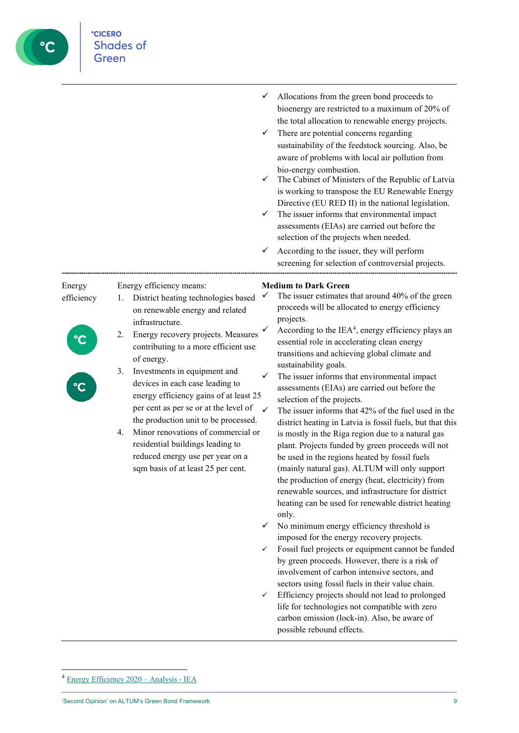

life for technologies not compatible with zero carbon emission (lock-in). Also, be aware of possible rebound effects.

**CICERO** 

**Shades of** Green

<span id="page-8-0"></span><sup>4</sup> [Energy Efficiency 2020 –](https://www.iea.org/reports/energy-efficiency-2020) Analysis - IEA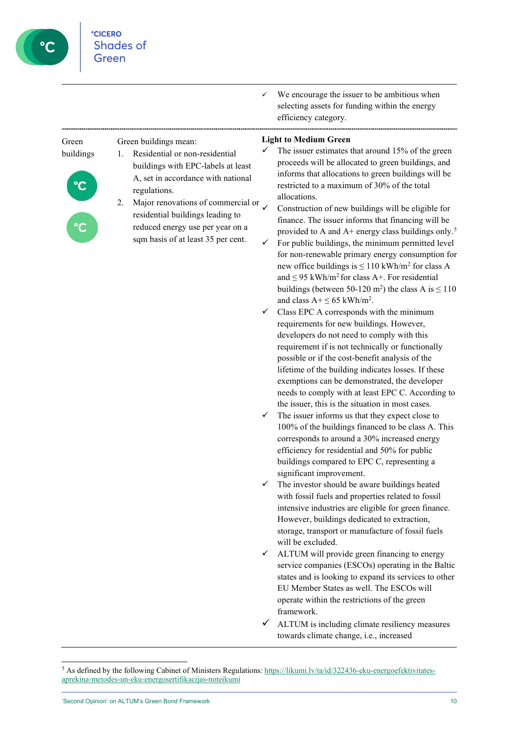

| $\checkmark$ | We encourage the issuer to be ambitious when   |
|--------------|------------------------------------------------|
|              | selecting assets for funding within the energy |
|              | efficiency category.                           |

#### Green buildings Green buildings mean: 1. Residential or non-residential buildings with EPC-labels at least A, set in accordance with national regulations. 2. Major renovations of commercial or residential buildings leading to reduced energy use per year on a sqm basis of at least 35 per cent. **Light to Medium Green**  $\checkmark$  The issuer estimates that around 15% of the green proceeds will be allocated to green buildings, and allocations. provided to A and A+ energy class buildings only.<sup>[5](#page-9-0)</sup>

- informs that allocations to green buildings will be restricted to a maximum of 30% of the total Construction of new buildings will be eligible for finance. The issuer informs that financing will be
- $\checkmark$  For public buildings, the minimum permitted level for non-renewable primary energy consumption for new office buildings is  $\leq 110$  kWh/m<sup>2</sup> for class A and  $\leq$  95 kWh/m<sup>2</sup> for class A+. For residential buildings (between 50-120 m<sup>2</sup>) the class A is  $\leq 110$ and class  $A + \leq 65$  kWh/m<sup>2</sup>.
- Class EPC A corresponds with the minimum requirements for new buildings. However, developers do not need to comply with this requirement if is not technically or functionally possible or if the cost-benefit analysis of the lifetime of the building indicates losses. If these exemptions can be demonstrated, the developer needs to comply with at least EPC C. According to the issuer, this is the situation in most cases.
- The issuer informs us that they expect close to 100% of the buildings financed to be class A. This corresponds to around a 30% increased energy efficiency for residential and 50% for public buildings compared to EPC C, representing a significant improvement.
- The investor should be aware buildings heated with fossil fuels and properties related to fossil intensive industries are eligible for green finance. However, buildings dedicated to extraction, storage, transport or manufacture of fossil fuels will be excluded.
- ALTUM will provide green financing to energy service companies (ESCOs) operating in the Baltic states and is looking to expand its services to other EU Member States as well. The ESCOs will operate within the restrictions of the green framework.
- ALTUM is including climate resiliency measures towards climate change, i.e., increased

<span id="page-9-0"></span><sup>&</sup>lt;sup>5</sup> As defined by the following Cabinet of Ministers Regulations[: https://likumi.lv/ta/id/322436-eku-energoefektivitates](https://likumi.lv/ta/id/322436-eku-energoefektivitates-aprekina-metodes-un-eku-energosertifikacijas-noteikumi)[aprekina-metodes-un-eku-energosertifikacijas-noteikumi](https://likumi.lv/ta/id/322436-eku-energoefektivitates-aprekina-metodes-un-eku-energosertifikacijas-noteikumi)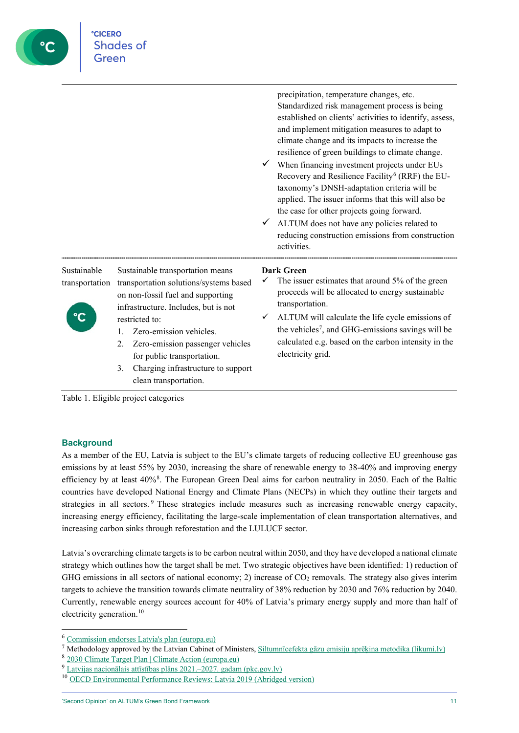| Green                         |                                                                                                                                                                                                                                                                                                                                                         |                                                                                                                                                                                                                                                                                                                                                                                                                                                                                                                                                                                                                                                                                                  |
|-------------------------------|---------------------------------------------------------------------------------------------------------------------------------------------------------------------------------------------------------------------------------------------------------------------------------------------------------------------------------------------------------|--------------------------------------------------------------------------------------------------------------------------------------------------------------------------------------------------------------------------------------------------------------------------------------------------------------------------------------------------------------------------------------------------------------------------------------------------------------------------------------------------------------------------------------------------------------------------------------------------------------------------------------------------------------------------------------------------|
|                               |                                                                                                                                                                                                                                                                                                                                                         | precipitation, temperature changes, etc.<br>Standardized risk management process is being<br>established on clients' activities to identify, assess,<br>and implement mitigation measures to adapt to<br>climate change and its impacts to increase the<br>resilience of green buildings to climate change.<br>When financing investment projects under EUs<br>Recovery and Resilience Facility <sup>6</sup> (RRF) the EU-<br>taxonomy's DNSH-adaptation criteria will be<br>applied. The issuer informs that this will also be<br>the case for other projects going forward.<br>ALTUM does not have any policies related to<br>reducing construction emissions from construction<br>activities. |
| Sustainable<br>transportation | Sustainable transportation means<br>transportation solutions/systems based<br>on non-fossil fuel and supporting<br>infrastructure. Includes, but is not<br>restricted to:<br>Zero-emission vehicles.<br>1.<br>Zero-emission passenger vehicles<br>2.<br>for public transportation.<br>Charging infrastructure to support<br>3.<br>clean transportation. | Dark Green<br>The issuer estimates that around 5% of the green<br>proceeds will be allocated to energy sustainable<br>transportation.<br>ALTUM will calculate the life cycle emissions of<br>$\checkmark$<br>the vehicles <sup>7</sup> , and GHG-emissions savings will be<br>calculated e.g. based on the carbon intensity in the<br>electricity grid.                                                                                                                                                                                                                                                                                                                                          |

<span id="page-10-0"></span>Table 1. Eligible project categories

**CICERO** 

**Shades of** 

**C** 

#### **Background**

As a member of the EU, Latvia is subject to the EU's climate targets of reducing collective EU greenhouse gas emissions by at least 55% by 2030, increasing the share of renewable energy to 38-40% and improving energy efficiency by at least 40%<sup>[8](#page-10-3)</sup>. The European Green Deal aims for carbon neutrality in 2050. Each of the Baltic countries have developed National Energy and Climate Plans (NECPs) in which they outline their targets and strategies in all sectors.<sup>[9](#page-10-4)</sup> These strategies include measures such as increasing renewable energy capacity, increasing energy efficiency, facilitating the large-scale implementation of clean transportation alternatives, and increasing carbon sinks through reforestation and the LULUCF sector.

Latvia's overarching climate targets is to be carbon neutral within 2050, and they have developed a national climate strategy which outlines how the target shall be met. Two strategic objectives have been identified: 1) reduction of GHG emissions in all sectors of national economy; 2) increase of  $CO<sub>2</sub>$  removals. The strategy also gives interim targets to achieve the transition towards climate neutrality of 38% reduction by 2030 and 76% reduction by 2040. Currently, renewable energy sources account for 40% of Latvia's primary energy supply and more than half of electricity generation. [10](#page-10-5)

<span id="page-10-1"></span><sup>6</sup> [Commission endorses Latvia's plan \(europa.eu\)](https://ec.europa.eu/commission/presscorner/detail/en/IP_21_3134)

<span id="page-10-2"></span><sup>&</sup>lt;sup>7</sup> Methodology approved by the Latvian Cabinet of Ministers, [Siltumnīcefekta gāzu emisiju aprēķina metodika \(likumi.lv\)](https://likumi.lv/ta/id/296651-siltumnicefekta-gazu-emisiju-aprekina-metodika)

<span id="page-10-3"></span><sup>8</sup> [2030 Climate Target Plan | Climate Action \(europa.eu\)](https://ec.europa.eu/clima/policies/eu-climate-action/2030_ctp_en)

<span id="page-10-4"></span><sup>9</sup> [Latvijas nacionālais attīstības plāns 2021.](https://www.pkc.gov.lv/sites/default/files/inline-files/NAP2027__ENG.pdf)–2027. gadam (pkc.gov.lv)

<span id="page-10-5"></span><sup>&</sup>lt;sup>10</sup> [OECD Environmental Performance Reviews: Latvia 2019 \(Abridged version\)](https://www.oecd.org/environment/country-reviews/OECD-EPR-Latvia-2019-Abridged-Version.pdf)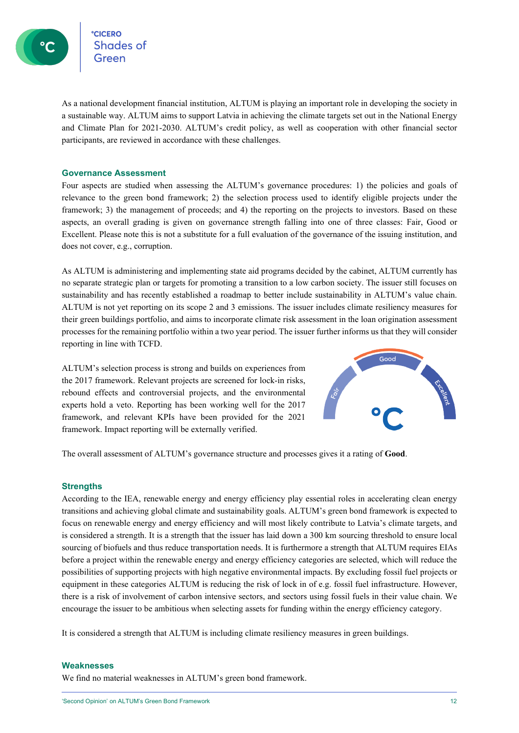сісеко<br>Shades of

As a national development financial institution, ALTUM is playing an important role in developing the society in a sustainable way. ALTUM aims to support Latvia in achieving the climate targets set out in the National Energy and Climate Plan for 2021-2030. ALTUM's credit policy, as well as cooperation with other financial sector participants, are reviewed in accordance with these challenges.

#### <span id="page-11-0"></span>**Governance Assessment**

Four aspects are studied when assessing the ALTUM's governance procedures: 1) the policies and goals of relevance to the green bond framework; 2) the selection process used to identify eligible projects under the framework; 3) the management of proceeds; and 4) the reporting on the projects to investors. Based on these aspects, an overall grading is given on governance strength falling into one of three classes: Fair, Good or Excellent. Please note this is not a substitute for a full evaluation of the governance of the issuing institution, and does not cover, e.g., corruption.

As ALTUM is administering and implementing state aid programs decided by the cabinet, ALTUM currently has no separate strategic plan or targets for promoting a transition to a low carbon society. The issuer still focuses on sustainability and has recently established a roadmap to better include sustainability in ALTUM's value chain. ALTUM is not yet reporting on its scope 2 and 3 emissions. The issuer includes climate resiliency measures for their green buildings portfolio, and aims to incorporate climate risk assessment in the loan origination assessment processes for the remaining portfolio within a two year period. The issuer further informs us that they will consider reporting in line with TCFD.

ALTUM's selection process is strong and builds on experiences from the 2017 framework. Relevant projects are screened for lock-in risks, rebound effects and controversial projects, and the environmental experts hold a veto. Reporting has been working well for the 2017 framework, and relevant KPIs have been provided for the 2021 framework. Impact reporting will be externally verified.



<span id="page-11-1"></span>The overall assessment of ALTUM's governance structure and processes gives it a rating of **Good**.

#### **Strengths**

According to the IEA, renewable energy and energy efficiency play essential roles in accelerating clean energy transitions and achieving global climate and sustainability goals. ALTUM's green bond framework is expected to focus on renewable energy and energy efficiency and will most likely contribute to Latvia's climate targets, and is considered a strength. It is a strength that the issuer has laid down a 300 km sourcing threshold to ensure local sourcing of biofuels and thus reduce transportation needs. It is furthermore a strength that ALTUM requires EIAs before a project within the renewable energy and energy efficiency categories are selected, which will reduce the possibilities of supporting projects with high negative environmental impacts. By excluding fossil fuel projects or equipment in these categories ALTUM is reducing the risk of lock in of e.g. fossil fuel infrastructure. However, there is a risk of involvement of carbon intensive sectors, and sectors using fossil fuels in their value chain. We encourage the issuer to be ambitious when selecting assets for funding within the energy efficiency category.

<span id="page-11-2"></span>It is considered a strength that ALTUM is including climate resiliency measures in green buildings.

#### **Weaknesses**

We find no material weaknesses in ALTUM's green bond framework.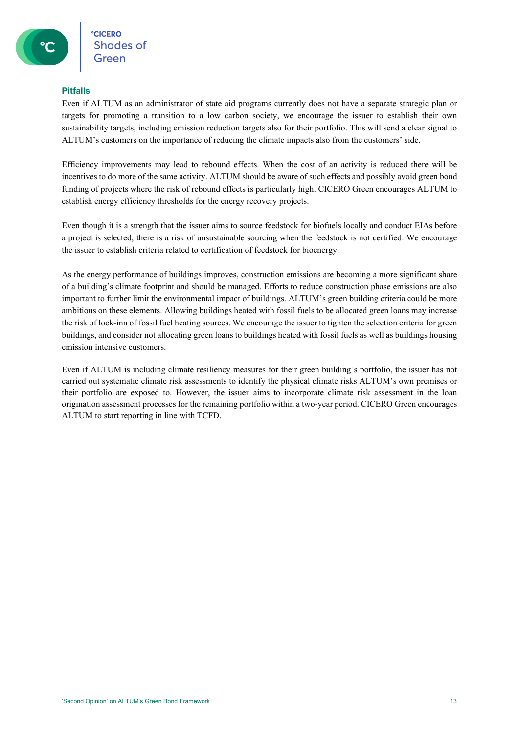#### <span id="page-12-0"></span>**Pitfalls**

Even if ALTUM as an administrator of state aid programs currently does not have a separate strategic plan or targets for promoting a transition to a low carbon society, we encourage the issuer to establish their own sustainability targets, including emission reduction targets also for their portfolio. This will send a clear signal to ALTUM's customers on the importance of reducing the climate impacts also from the customers' side.

Efficiency improvements may lead to rebound effects. When the cost of an activity is reduced there will be incentives to do more of the same activity. ALTUM should be aware of such effects and possibly avoid green bond funding of projects where the risk of rebound effects is particularly high. CICERO Green encourages ALTUM to establish energy efficiency thresholds for the energy recovery projects.

Even though it is a strength that the issuer aims to source feedstock for biofuels locally and conduct EIAs before a project is selected, there is a risk of unsustainable sourcing when the feedstock is not certified. We encourage the issuer to establish criteria related to certification of feedstock for bioenergy.

As the energy performance of buildings improves, construction emissions are becoming a more significant share of a building's climate footprint and should be managed. Efforts to reduce construction phase emissions are also important to further limit the environmental impact of buildings. ALTUM's green building criteria could be more ambitious on these elements. Allowing buildings heated with fossil fuels to be allocated green loans may increase the risk of lock-inn of fossil fuel heating sources. We encourage the issuer to tighten the selection criteria for green buildings, and consider not allocating green loans to buildings heated with fossil fuels as well as buildings housing emission intensive customers.

Even if ALTUM is including climate resiliency measures for their green building's portfolio, the issuer has not carried out systematic climate risk assessments to identify the physical climate risks ALTUM's own premises or their portfolio are exposed to. However, the issuer aims to incorporate climate risk assessment in the loan origination assessment processes for the remaining portfolio within a two-year period. CICERO Green encourages ALTUM to start reporting in line with TCFD.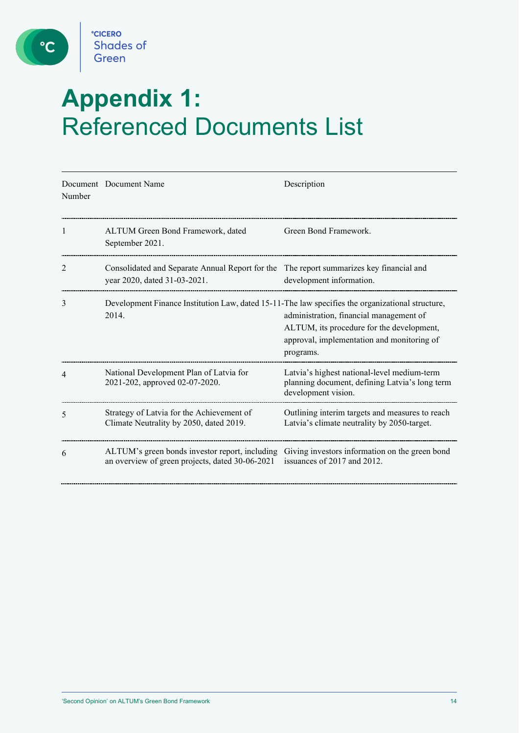

 $\bullet$ 

# <span id="page-13-0"></span>**Appendix 1:**  Referenced Documents List

| Number | Document Document Name                                                                                                  | Description                                                                                                                                     |
|--------|-------------------------------------------------------------------------------------------------------------------------|-------------------------------------------------------------------------------------------------------------------------------------------------|
| 1      | ALTUM Green Bond Framework, dated<br>September 2021.                                                                    | Green Bond Framework.                                                                                                                           |
| 2      | Consolidated and Separate Annual Report for the The report summarizes key financial and<br>year 2020, dated 31-03-2021. | development information.                                                                                                                        |
| 3      | Development Finance Institution Law, dated 15-11-The law specifies the organizational structure,<br>2014.               | administration, financial management of<br>ALTUM, its procedure for the development,<br>approval, implementation and monitoring of<br>programs. |
| 4      | National Development Plan of Latvia for<br>2021-202, approved 02-07-2020.                                               | Latvia's highest national-level medium-term<br>planning document, defining Latvia's long term<br>development vision.                            |
| 5      | Strategy of Latvia for the Achievement of<br>Climate Neutrality by 2050, dated 2019.                                    | Outlining interim targets and measures to reach<br>Latvia's climate neutrality by 2050-target.                                                  |
| 6      | ALTUM's green bonds investor report, including<br>an overview of green projects, dated 30-06-2021                       | Giving investors information on the green bond<br>issuances of 2017 and 2012.                                                                   |